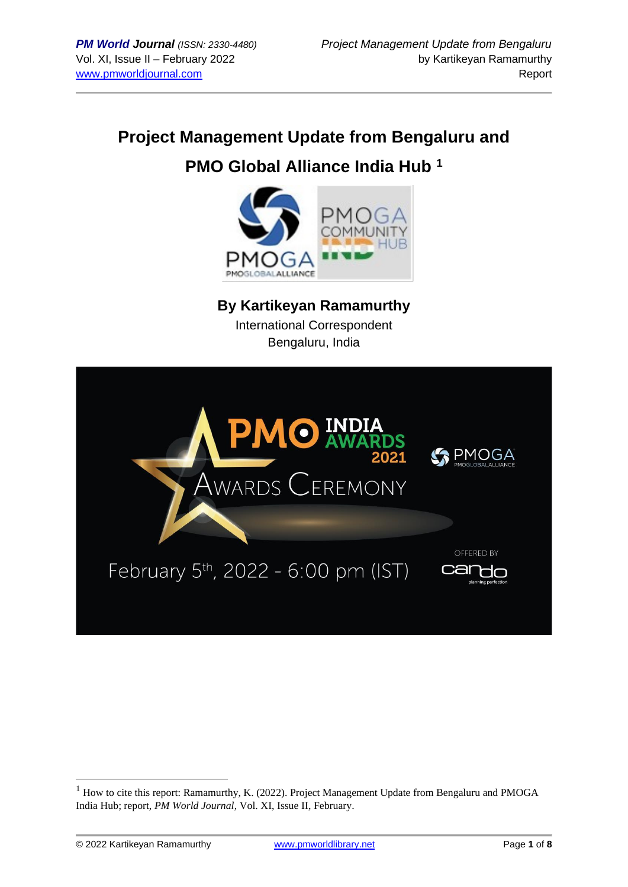# **Project Management Update from Bengaluru and**

# **PMO Global Alliance India Hub <sup>1</sup>**



**By Kartikeyan Ramamurthy** International Correspondent

Bengaluru, India



<sup>&</sup>lt;sup>1</sup> How to cite this report: Ramamurthy, K. (2022). Project Management Update from Bengaluru and PMOGA India Hub; report, *PM World Journal*, Vol. XI, Issue II, February.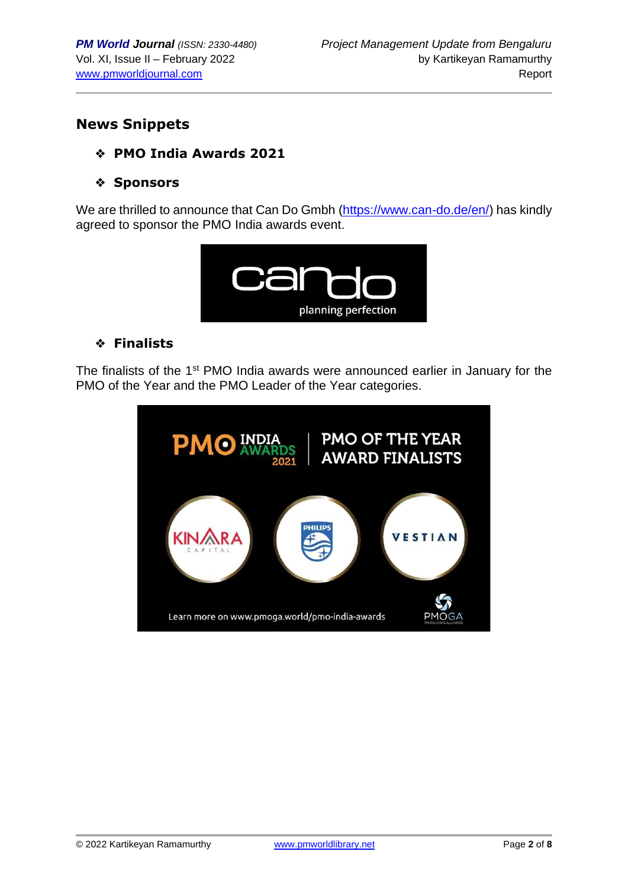## **News Snippets**

#### ❖ **PMO India Awards 2021**

#### ❖ **Sponsors**

We are thrilled to announce that Can Do Gmbh [\(https://www.can-do.de/en/\)](https://www.can-do.de/en/) has kindly agreed to sponsor the PMO India awards event.



#### ❖ **Finalists**

The finalists of the 1<sup>st</sup> PMO India awards were announced earlier in January for the PMO of the Year and the PMO Leader of the Year categories.

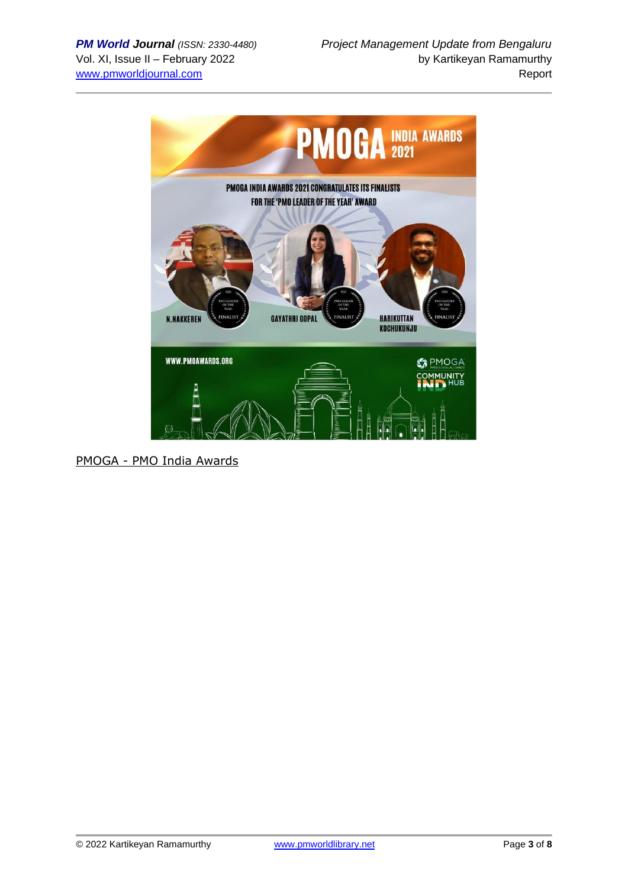

PMOGA - [PMO India Awards](https://www.pmoga.world/pmo-india-awards)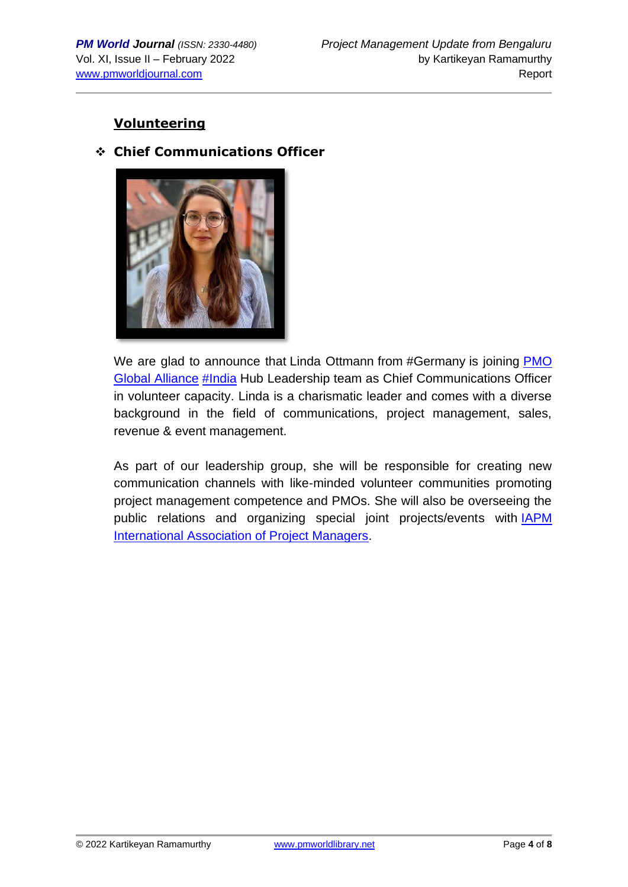### **Volunteering**

#### ❖ **Chief Communications Officer**



We are glad to announce that Linda Ottmann from #Germany is joining **PMO** [Global Alliance](https://www.linkedin.com/company/pmoga/) [#India](https://www.linkedin.com/feed/hashtag/?keywords=india&highlightedUpdateUrns=urn%3Ali%3Aactivity%3A6886635002541555713) Hub Leadership team as Chief Communications Officer in volunteer capacity. Linda is a charismatic leader and comes with a diverse background in the field of communications, project management, sales, revenue & event management.

As part of our leadership group, she will be responsible for creating new communication channels with like-minded volunteer communities promoting project management competence and PMOs. She will also be overseeing the public relations and organizing special joint projects/events with [IAPM](https://www.linkedin.com/company/iapm-international-association-of-project-managers/)  [International Association of Project Managers.](https://www.linkedin.com/company/iapm-international-association-of-project-managers/)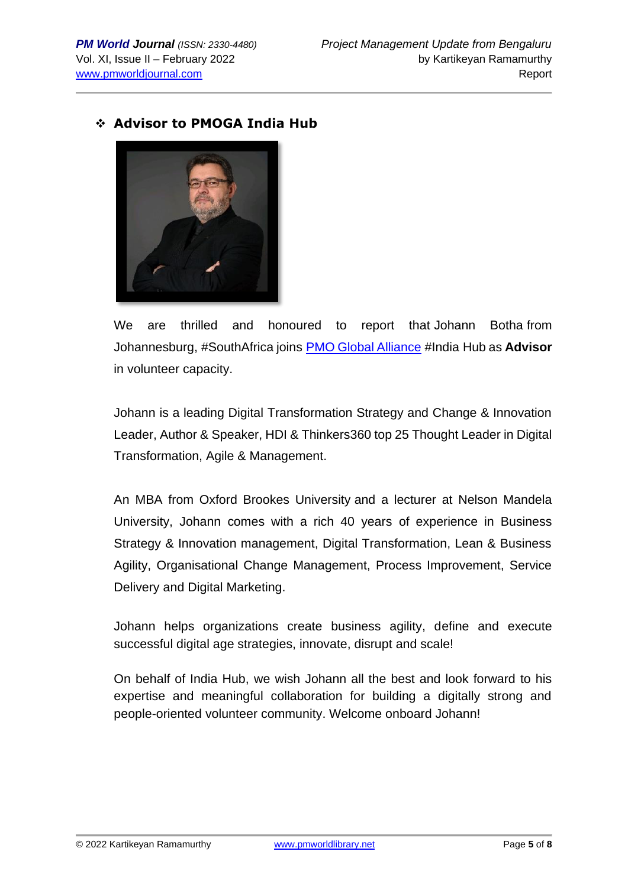#### ❖ **Advisor to PMOGA India Hub**



We are thrilled and honoured to report that Johann Botha from Johannesburg, #SouthAfrica joins [PMO Global Alliance](https://www.linkedin.com/company/pmoga/) #India Hub as **Advisor** in volunteer capacity.

Johann is a leading Digital Transformation Strategy and Change & Innovation Leader, Author & Speaker, HDI & Thinkers360 top 25 Thought Leader in Digital Transformation, Agile & Management.

An MBA from Oxford Brookes University and a lecturer at Nelson Mandela University, Johann comes with a rich 40 years of experience in Business Strategy & Innovation management, Digital Transformation, Lean & Business Agility, Organisational Change Management, Process Improvement, Service Delivery and Digital Marketing.

Johann helps organizations create business agility, define and execute successful digital age strategies, innovate, disrupt and scale!

On behalf of India Hub, we wish Johann all the best and look forward to his expertise and meaningful collaboration for building a digitally strong and people-oriented volunteer community. Welcome onboard Johann!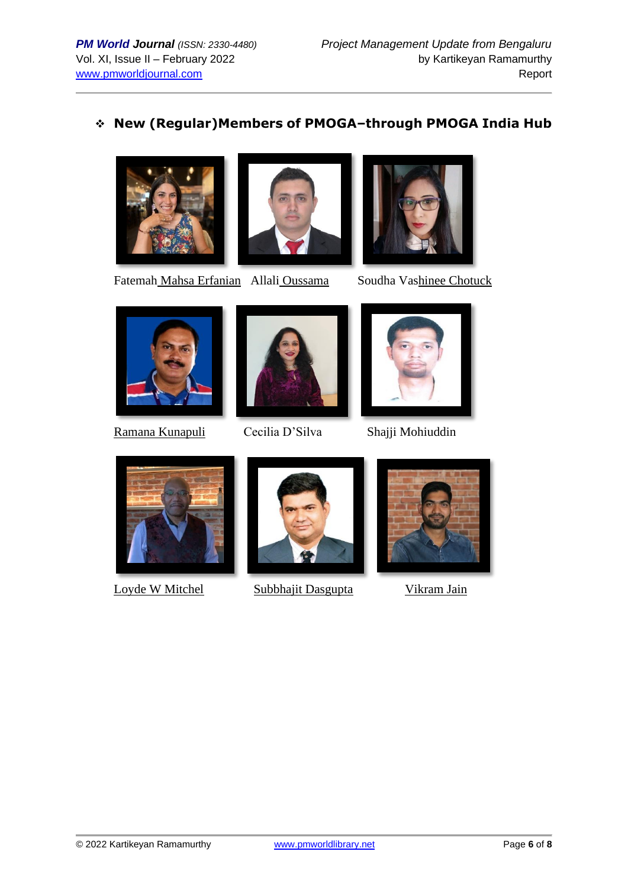# ❖ **New (Regular)Members of PMOGA–through PMOGA India Hub**







Fatemah Mahsa Erfanian Allali Oussama Soudha Vashinee Chotuck



Ramana Kunapuli Cecilia D'Silva Shajji Mohiuddin









Loyde W MitchelSubbhajit Dasgupta Vikram Jain

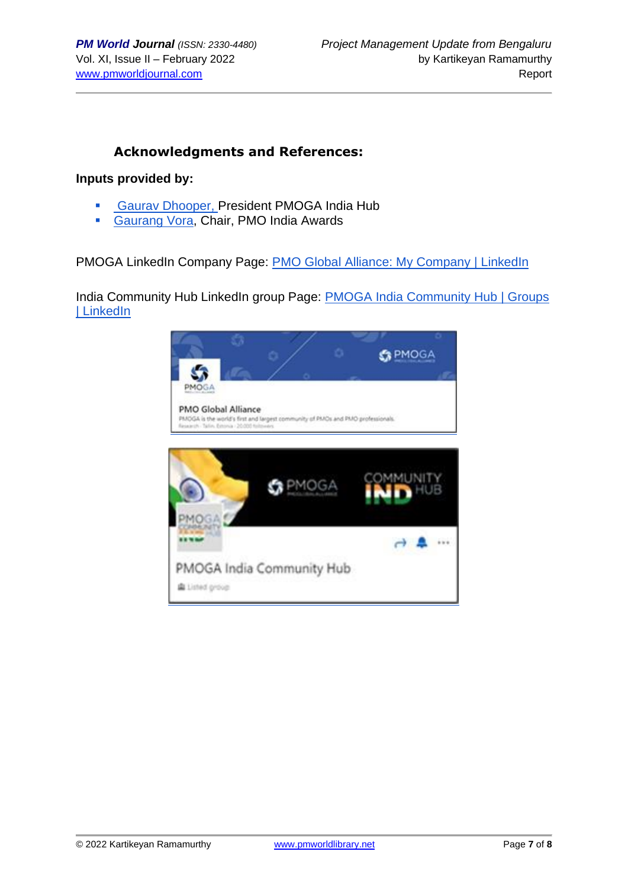#### **Acknowledgments and References:**

#### **Inputs provided by:**

- **[Gaurav Dhooper,](https://www.linkedin.com/in/gaurav-dhooper-pal-i%C2%AE-pmi-acp%C2%AE-safe4%C2%AE-csm%C2%AE-lss-gb-b871a5a/) President PMOGA India Hub**
- [Gaurang Vora,](https://www.linkedin.com/in/gaurang-vora-a0255a1b/) Chair, PMO India Awards

PMOGA LinkedIn Company Page: [PMO Global Alliance: My Company | LinkedIn](https://www.linkedin.com/company/pmoga/mycompany/)

India Community Hub LinkedIn group Page: [PMOGA India Community Hub | Groups](https://www.linkedin.com/groups/13985237/)  [| LinkedIn](https://www.linkedin.com/groups/13985237/)